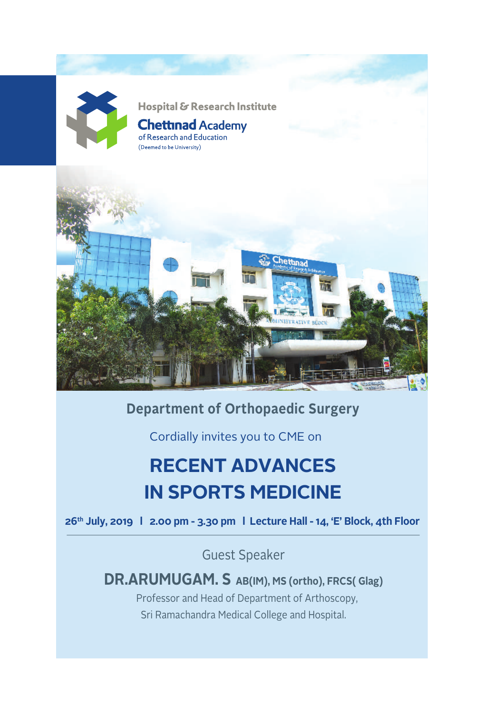

#### **Department of Orthopaedic Surgery**

Cordially invites you to CME on

# **RECENT ADVANCES IN SPORTS MEDICINE**

**26th July, 2019 l 2.00 pm - 3.30 pm l Lecture Hall - 14, 'E' Block, 4th Floor**

Guest Speaker

**DR.ARUMUGAM. S AB(IM), MS (ortho), FRCS( Glag)** Professor and Head of Department of Arthoscopy, Sri Ramachandra Medical College and Hospital.